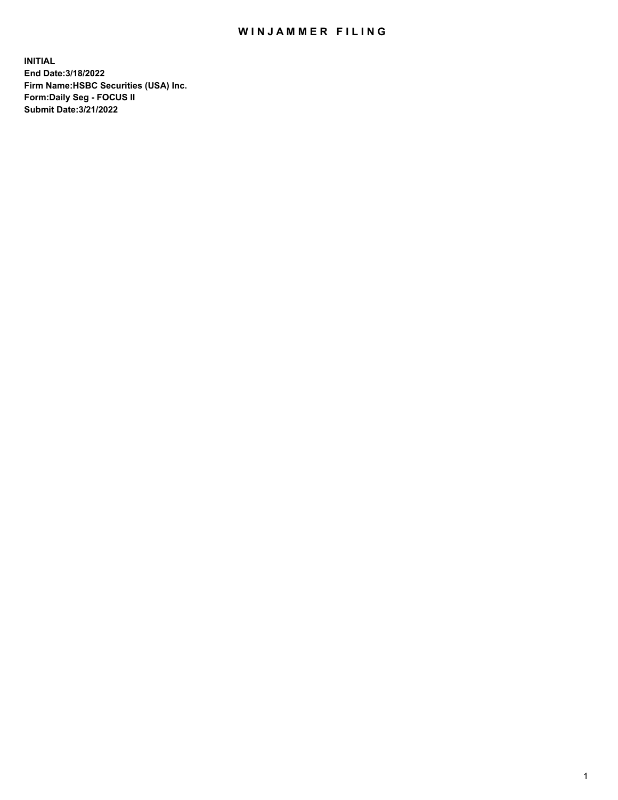## WIN JAMMER FILING

**INITIAL End Date:3/18/2022 Firm Name:HSBC Securities (USA) Inc. Form:Daily Seg - FOCUS II Submit Date:3/21/2022**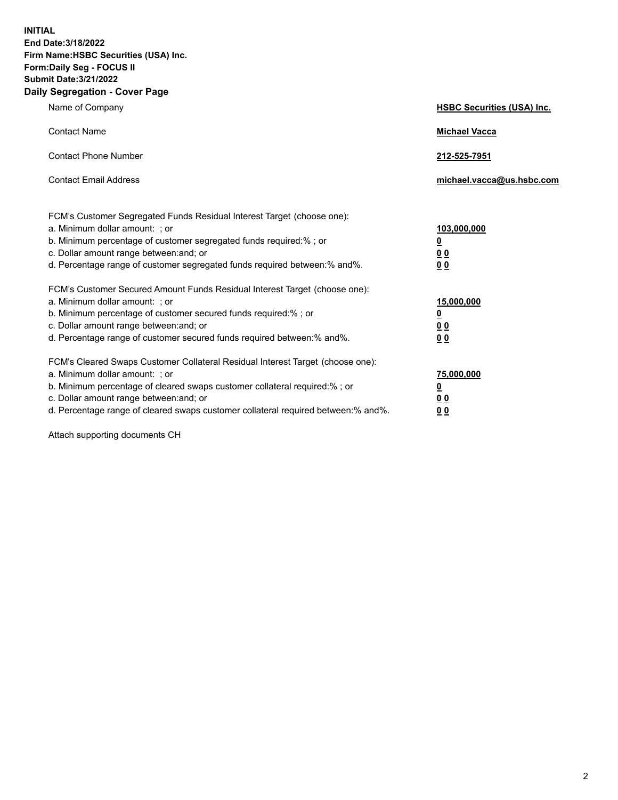**INITIAL End Date:3/18/2022 Firm Name:HSBC Securities (USA) Inc. Form:Daily Seg - FOCUS II Submit Date:3/21/2022 Daily Segregation - Cover Page**

| Name of Company                                                                                                                                                                                                                                                                                                               | <b>HSBC Securities (USA) Inc.</b>                           |
|-------------------------------------------------------------------------------------------------------------------------------------------------------------------------------------------------------------------------------------------------------------------------------------------------------------------------------|-------------------------------------------------------------|
| <b>Contact Name</b>                                                                                                                                                                                                                                                                                                           | <b>Michael Vacca</b>                                        |
| <b>Contact Phone Number</b>                                                                                                                                                                                                                                                                                                   | 212-525-7951                                                |
| <b>Contact Email Address</b>                                                                                                                                                                                                                                                                                                  | michael.vacca@us.hsbc.com                                   |
| FCM's Customer Segregated Funds Residual Interest Target (choose one):<br>a. Minimum dollar amount: ; or<br>b. Minimum percentage of customer segregated funds required:% ; or<br>c. Dollar amount range between: and; or<br>d. Percentage range of customer segregated funds required between:% and%.                        | 103,000,000<br><u>0</u><br>0 <sub>0</sub><br>0 <sub>0</sub> |
| FCM's Customer Secured Amount Funds Residual Interest Target (choose one):<br>a. Minimum dollar amount: ; or<br>b. Minimum percentage of customer secured funds required:%; or<br>c. Dollar amount range between: and; or<br>d. Percentage range of customer secured funds required between: % and %.                         | 15,000,000<br><u>0</u><br>0 <sub>0</sub><br>0 <sub>0</sub>  |
| FCM's Cleared Swaps Customer Collateral Residual Interest Target (choose one):<br>a. Minimum dollar amount: : or<br>b. Minimum percentage of cleared swaps customer collateral required:%; or<br>c. Dollar amount range between: and; or<br>d. Percentage range of cleared swaps customer collateral required between:% and%. | 75,000,000<br><u>0</u><br>00<br>00                          |

Attach supporting documents CH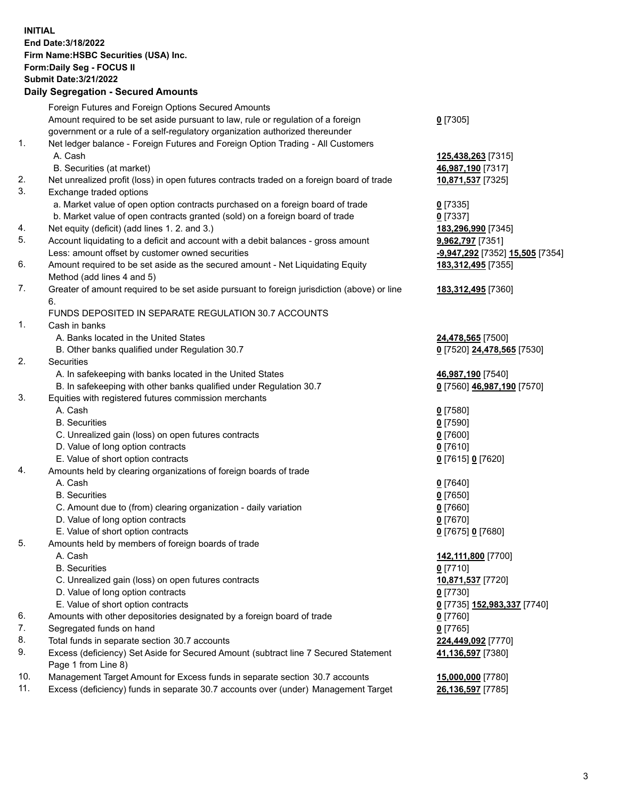**INITIAL End Date:3/18/2022 Firm Name:HSBC Securities (USA) Inc. Form:Daily Seg - FOCUS II Submit Date:3/21/2022 Daily Segregation - Secured Amounts** Foreign Futures and Foreign Options Secured Amounts Amount required to be set aside pursuant to law, rule or regulation of a foreign government or a rule of a self-regulatory organization authorized thereunder **0** [7305] 1. Net ledger balance - Foreign Futures and Foreign Option Trading - All Customers A. Cash **125,438,263** [7315] B. Securities (at market) **46,987,190** [7317] 2. Net unrealized profit (loss) in open futures contracts traded on a foreign board of trade **10,871,537** [7325] 3. Exchange traded options a. Market value of open option contracts purchased on a foreign board of trade **0** [7335] b. Market value of open contracts granted (sold) on a foreign board of trade **0** [7337] 4. Net equity (deficit) (add lines 1. 2. and 3.) **183,296,990** [7345] 5. Account liquidating to a deficit and account with a debit balances - gross amount **9,962,797** [7351] Less: amount offset by customer owned securities **-9,947,292** [7352] **15,505** [7354] 6. Amount required to be set aside as the secured amount - Net Liquidating Equity Method (add lines 4 and 5) **183,312,495** [7355] 7. Greater of amount required to be set aside pursuant to foreign jurisdiction (above) or line 6. **183,312,495** [7360] FUNDS DEPOSITED IN SEPARATE REGULATION 30.7 ACCOUNTS 1. Cash in banks A. Banks located in the United States **24,478,565** [7500] B. Other banks qualified under Regulation 30.7 **0** [7520] **24,478,565** [7530] 2. Securities A. In safekeeping with banks located in the United States **46,987,190** [7540] B. In safekeeping with other banks qualified under Regulation 30.7 **0** [7560] **46,987,190** [7570] 3. Equities with registered futures commission merchants A. Cash **0** [7580] B. Securities **0** [7590] C. Unrealized gain (loss) on open futures contracts **0** [7600] D. Value of long option contracts **0** [7610] E. Value of short option contracts **0** [7615] **0** [7620] 4. Amounts held by clearing organizations of foreign boards of trade A. Cash **0** [7640] B. Securities **0** [7650] C. Amount due to (from) clearing organization - daily variation **0** [7660] D. Value of long option contracts **0** [7670] E. Value of short option contracts **0** [7675] **0** [7680] 5. Amounts held by members of foreign boards of trade A. Cash **142,111,800** [7700] B. Securities **0** [7710] C. Unrealized gain (loss) on open futures contracts **10,871,537** [7720] D. Value of long option contracts **0** [7730] E. Value of short option contracts **0** [7735] **152,983,337** [7740] 6. Amounts with other depositories designated by a foreign board of trade **0** [7760] 7. Segregated funds on hand **0** [7765] 8. Total funds in separate section 30.7 accounts **224,449,092** [7770]

9. Excess (deficiency) Set Aside for Secured Amount (subtract line 7 Secured Statement Page 1 from Line 8)

10. Management Target Amount for Excess funds in separate section 30.7 accounts **15,000,000** [7780]

11. Excess (deficiency) funds in separate 30.7 accounts over (under) Management Target **26,136,597** [7785]

**41,136,597** [7380]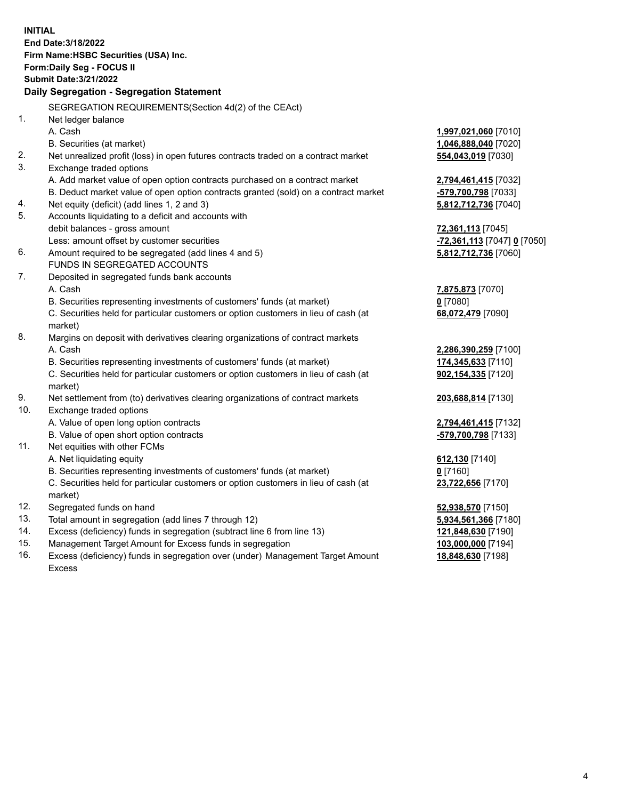**INITIAL End Date:3/18/2022 Firm Name:HSBC Securities (USA) Inc. Form:Daily Seg - FOCUS II Submit Date:3/21/2022 Daily Segregation - Segregation Statement** SEGREGATION REQUIREMENTS(Section 4d(2) of the CEAct) 1. Net ledger balance A. Cash **1,997,021,060** [7010] B. Securities (at market) **1,046,888,040** [7020] 2. Net unrealized profit (loss) in open futures contracts traded on a contract market **554,043,019** [7030] 3. Exchange traded options A. Add market value of open option contracts purchased on a contract market **2,794,461,415** [7032] B. Deduct market value of open option contracts granted (sold) on a contract market **-579,700,798** [7033] 4. Net equity (deficit) (add lines 1, 2 and 3) **5,812,712,736** [7040] 5. Accounts liquidating to a deficit and accounts with debit balances - gross amount **72,361,113** [7045] Less: amount offset by customer securities **-72,361,113** [7047] **0** [7050] 6. Amount required to be segregated (add lines 4 and 5) **5,812,712,736** [7060] FUNDS IN SEGREGATED ACCOUNTS 7. Deposited in segregated funds bank accounts A. Cash **7,875,873** [7070] B. Securities representing investments of customers' funds (at market) **0** [7080] C. Securities held for particular customers or option customers in lieu of cash (at market) **68,072,479** [7090] 8. Margins on deposit with derivatives clearing organizations of contract markets A. Cash **2,286,390,259** [7100] B. Securities representing investments of customers' funds (at market) **174,345,633** [7110] C. Securities held for particular customers or option customers in lieu of cash (at market) **902,154,335** [7120] 9. Net settlement from (to) derivatives clearing organizations of contract markets **203,688,814** [7130] 10. Exchange traded options A. Value of open long option contracts **2,794,461,415** [7132] B. Value of open short option contracts **-579,700,798** [7133] 11. Net equities with other FCMs A. Net liquidating equity **612,130** [7140] B. Securities representing investments of customers' funds (at market) **0** [7160] C. Securities held for particular customers or option customers in lieu of cash (at market) **23,722,656** [7170] 12. Segregated funds on hand **52,938,570** [7150] 13. Total amount in segregation (add lines 7 through 12) **5,934,561,366** [7180] 14. Excess (deficiency) funds in segregation (subtract line 6 from line 13) **121,848,630** [7190] 15. Management Target Amount for Excess funds in segregation **103,000,000** [7194] 16. Excess (deficiency) funds in segregation over (under) Management Target Amount **18,848,630** [7198]

Excess